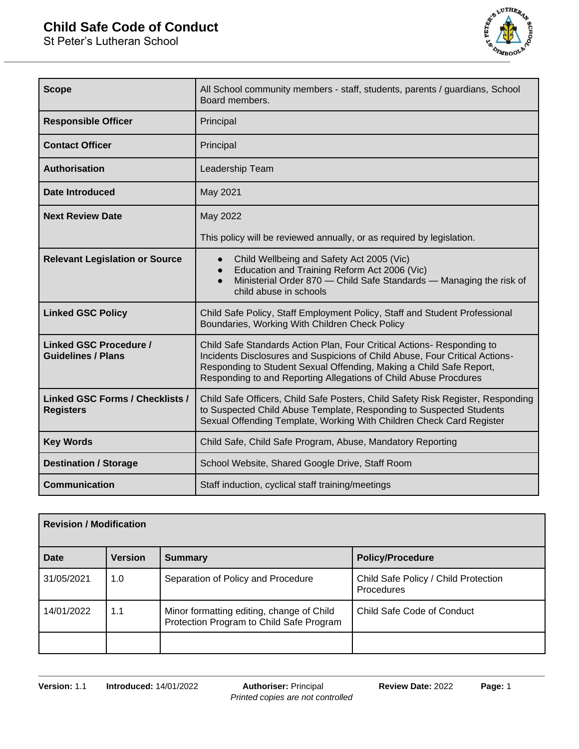## **Child Safe Code of Conduct**

St Peter's Lutheran School



| <b>Scope</b>                                               | All School community members - staff, students, parents / guardians, School<br>Board members.                                                                                                                                                                                                    |  |
|------------------------------------------------------------|--------------------------------------------------------------------------------------------------------------------------------------------------------------------------------------------------------------------------------------------------------------------------------------------------|--|
| <b>Responsible Officer</b>                                 | Principal                                                                                                                                                                                                                                                                                        |  |
| <b>Contact Officer</b>                                     | Principal                                                                                                                                                                                                                                                                                        |  |
| <b>Authorisation</b>                                       | Leadership Team                                                                                                                                                                                                                                                                                  |  |
| Date Introduced                                            | May 2021                                                                                                                                                                                                                                                                                         |  |
| <b>Next Review Date</b>                                    | May 2022                                                                                                                                                                                                                                                                                         |  |
|                                                            | This policy will be reviewed annually, or as required by legislation.                                                                                                                                                                                                                            |  |
| <b>Relevant Legislation or Source</b>                      | Child Wellbeing and Safety Act 2005 (Vic)<br>$\bullet$<br>Education and Training Reform Act 2006 (Vic)<br>$\bullet$<br>Ministerial Order 870 - Child Safe Standards - Managing the risk of<br>$\bullet$<br>child abuse in schools                                                                |  |
| <b>Linked GSC Policy</b>                                   | Child Safe Policy, Staff Employment Policy, Staff and Student Professional<br>Boundaries, Working With Children Check Policy                                                                                                                                                                     |  |
| <b>Linked GSC Procedure /</b><br><b>Guidelines / Plans</b> | Child Safe Standards Action Plan, Four Critical Actions- Responding to<br>Incidents Disclosures and Suspicions of Child Abuse, Four Critical Actions-<br>Responding to Student Sexual Offending, Making a Child Safe Report,<br>Responding to and Reporting Allegations of Child Abuse Procdures |  |
| <b>Linked GSC Forms / Checklists /</b><br><b>Registers</b> | Child Safe Officers, Child Safe Posters, Child Safety Risk Register, Responding<br>to Suspected Child Abuse Template, Responding to Suspected Students<br>Sexual Offending Template, Working With Children Check Card Register                                                                   |  |
| <b>Key Words</b>                                           | Child Safe, Child Safe Program, Abuse, Mandatory Reporting                                                                                                                                                                                                                                       |  |
| <b>Destination / Storage</b>                               | School Website, Shared Google Drive, Staff Room                                                                                                                                                                                                                                                  |  |
| <b>Communication</b>                                       | Staff induction, cyclical staff training/meetings                                                                                                                                                                                                                                                |  |

| <b>Revision / Modification</b> |                |                                                                                       |                                                    |
|--------------------------------|----------------|---------------------------------------------------------------------------------------|----------------------------------------------------|
| Date                           | <b>Version</b> | <b>Summary</b>                                                                        | <b>Policy/Procedure</b>                            |
| 31/05/2021                     | 1.0            | Separation of Policy and Procedure                                                    | Child Safe Policy / Child Protection<br>Procedures |
| 14/01/2022                     | 1.1            | Minor formatting editing, change of Child<br>Protection Program to Child Safe Program | Child Safe Code of Conduct                         |
|                                |                |                                                                                       |                                                    |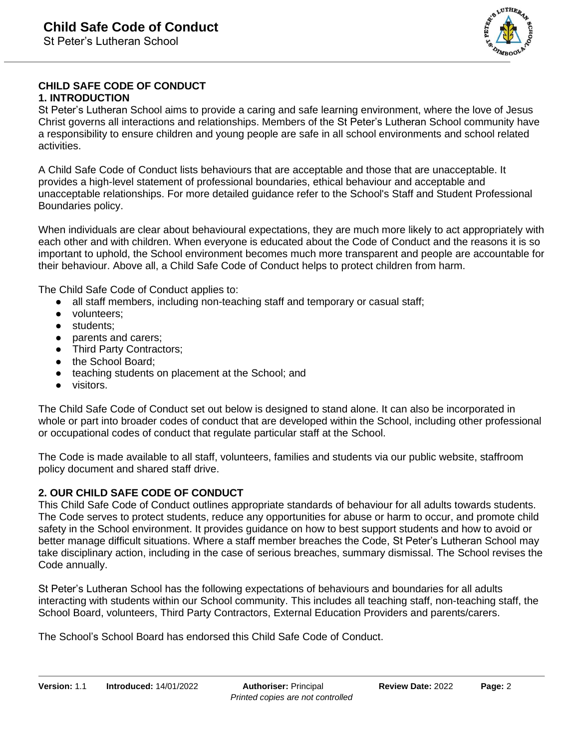

# **CHILD SAFE CODE OF CONDUCT**

#### **1. INTRODUCTION**

St Peter's Lutheran School aims to provide a caring and safe learning environment, where the love of Jesus Christ governs all interactions and relationships. Members of the St Peter's Lutheran School community have a responsibility to ensure children and young people are safe in all school environments and school related activities.

A Child Safe Code of Conduct lists behaviours that are acceptable and those that are unacceptable. It provides a high-level statement of professional boundaries, ethical behaviour and acceptable and unacceptable relationships. For more detailed guidance refer to the School's Staff and Student Professional Boundaries policy.

When individuals are clear about behavioural expectations, they are much more likely to act appropriately with each other and with children. When everyone is educated about the Code of Conduct and the reasons it is so important to uphold, the School environment becomes much more transparent and people are accountable for their behaviour. Above all, a Child Safe Code of Conduct helps to protect children from harm.

The Child Safe Code of Conduct applies to:

- all staff members, including non-teaching staff and temporary or casual staff;
- volunteers;
- students;
- parents and carers;
- Third Party Contractors;
- the School Board;
- teaching students on placement at the School; and
- visitors.

The Child Safe Code of Conduct set out below is designed to stand alone. It can also be incorporated in whole or part into broader codes of conduct that are developed within the School, including other professional or occupational codes of conduct that regulate particular staff at the School.

The Code is made available to all staff, volunteers, families and students via our public website, staffroom policy document and shared staff drive.

### **2. OUR CHILD SAFE CODE OF CONDUCT**

This Child Safe Code of Conduct outlines appropriate standards of behaviour for all adults towards students. The Code serves to protect students, reduce any opportunities for abuse or harm to occur, and promote child safety in the School environment. It provides guidance on how to best support students and how to avoid or better manage difficult situations. Where a staff member breaches the Code, St Peter's Lutheran School may take disciplinary action, including in the case of serious breaches, summary dismissal. The School revises the Code annually.

St Peter's Lutheran School has the following expectations of behaviours and boundaries for all adults interacting with students within our School community. This includes all teaching staff, non-teaching staff, the School Board, volunteers, Third Party Contractors, External Education Providers and parents/carers.

The School's School Board has endorsed this Child Safe Code of Conduct.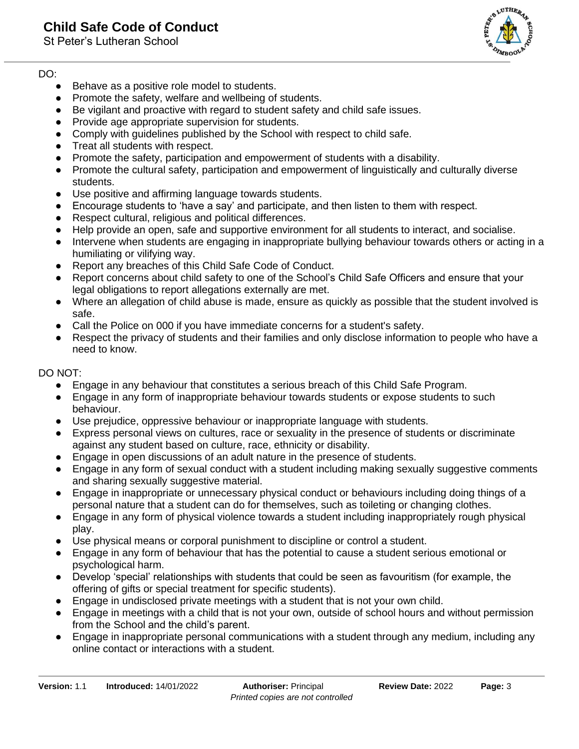### **Child Safe Code of Conduct**

St Peter's Lutheran School

# DO:

- Behave as a positive role model to students.
- Promote the safety, welfare and wellbeing of students.
- Be vigilant and proactive with regard to student safety and child safe issues.
- Provide age appropriate supervision for students.
- Comply with quidelines published by the School with respect to child safe.
- Treat all students with respect.
- Promote the safety, participation and empowerment of students with a disability.
- Promote the cultural safety, participation and empowerment of linguistically and culturally diverse students.
- Use positive and affirming language towards students.
- Encourage students to 'have a say' and participate, and then listen to them with respect.
- Respect cultural, religious and political differences.
- Help provide an open, safe and supportive environment for all students to interact, and socialise.
- Intervene when students are engaging in inappropriate bullying behaviour towards others or acting in a humiliating or vilifying way.
- Report any breaches of this Child Safe Code of Conduct.
- Report concerns about child safety to one of the School's Child Safe Officers and ensure that your legal obligations to report allegations externally are met.
- Where an allegation of child abuse is made, ensure as quickly as possible that the student involved is safe.
- Call the Police on 000 if you have immediate concerns for a student's safety.
- Respect the privacy of students and their families and only disclose information to people who have a need to know.

### DO NOT:

- Engage in any behaviour that constitutes a serious breach of this Child Safe Program.
- Engage in any form of inappropriate behaviour towards students or expose students to such behaviour.
- Use prejudice, oppressive behaviour or inappropriate language with students.
- Express personal views on cultures, race or sexuality in the presence of students or discriminate against any student based on culture, race, ethnicity or disability.
- Engage in open discussions of an adult nature in the presence of students.
- Engage in any form of sexual conduct with a student including making sexually suggestive comments and sharing sexually suggestive material.
- Engage in inappropriate or unnecessary physical conduct or behaviours including doing things of a personal nature that a student can do for themselves, such as toileting or changing clothes.
- Engage in any form of physical violence towards a student including inappropriately rough physical play.
- Use physical means or corporal punishment to discipline or control a student.
- Engage in any form of behaviour that has the potential to cause a student serious emotional or psychological harm.
- Develop 'special' relationships with students that could be seen as favouritism (for example, the offering of gifts or special treatment for specific students).
- Engage in undisclosed private meetings with a student that is not your own child.
- Engage in meetings with a child that is not your own, outside of school hours and without permission from the School and the child's parent.
- Engage in inappropriate personal communications with a student through any medium, including any online contact or interactions with a student.